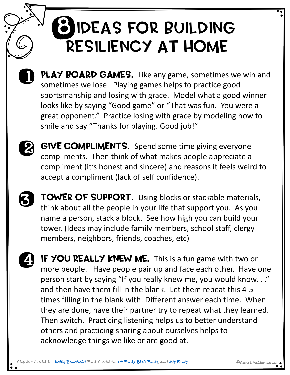## **BIDEAS FOR BUILDING** Resiliency at Home



PLAY BOARD GAMES. Like any game, sometimes we win and sometimes we lose. Playing games helps to practice good sportsmanship and losing with grace. Model what a good winner looks like by saying "Good game" or "That was fun. You were a great opponent." Practice losing with grace by modeling how to smile and say "Thanks for playing. Good job!"



GIVE COMPLIMENTS. Spend some time giving everyone compliments. Then think of what makes people appreciate a compliment (it's honest and sincere) and reasons it feels weird to accept a compliment (lack of self confidence).

3

TOWER OF SUPPORT. Using blocks or stackable materials, think about all the people in your life that support you. As you name a person, stack a block. See how high you can build your tower. (Ideas may include family members, school staff, clergy members, neighbors, friends, coaches, etc)

IF YOU REALLY KNEW ME. This is a fun game with two or more people. Have people pair up and face each other. Have one person start by saying "If you really knew me, you would know. . ." and then have them fill in the blank. Let them repeat this 4-5 times filling in the blank with. Different answer each time. When they are done, have their partner try to repeat what they learned. Then switch. Practicing listening helps us to better understand others and practicing sharing about ourselves helps to acknowledge things we like or are good at. 0